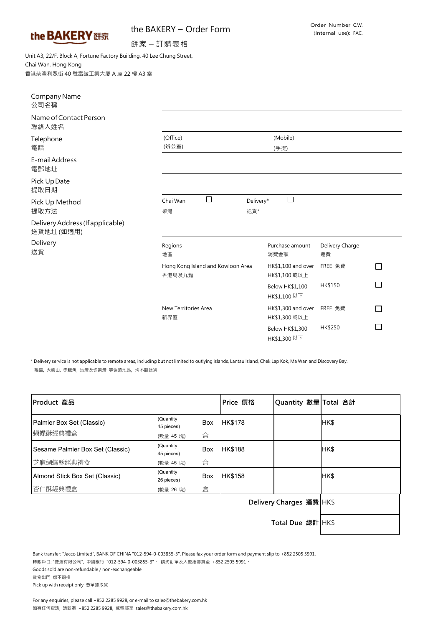|  | the BAKERY 餅家 |  |
|--|---------------|--|
|  |               |  |

## the BAKERY – Order Form

 $\frac{1}{2}$  ,  $\frac{1}{2}$  ,  $\frac{1}{2}$  ,  $\frac{1}{2}$  ,  $\frac{1}{2}$  ,  $\frac{1}{2}$  ,  $\frac{1}{2}$  ,  $\frac{1}{2}$  ,  $\frac{1}{2}$  ,  $\frac{1}{2}$  ,  $\frac{1}{2}$  ,  $\frac{1}{2}$  ,  $\frac{1}{2}$  ,  $\frac{1}{2}$  ,  $\frac{1}{2}$  ,  $\frac{1}{2}$  ,  $\frac{1}{2}$  ,  $\frac{1}{2}$  ,  $\frac{1$ 

餅家 – 訂購表格

Unit A3, 22/F, Block A, Fortune Factory Building, 40 Lee Chung Street, Chai Wan, Hong Kong 香港柴灣利眾街 40 號富誠工業大廈 A 座 22 樓 A3 室

| Company Name<br>公司名稱                          |                                             |                                              |                       |  |
|-----------------------------------------------|---------------------------------------------|----------------------------------------------|-----------------------|--|
| Name of Contact Person<br>聯絡人姓名               |                                             |                                              |                       |  |
| Telephone<br>電話                               | (Office)<br>(辨公室)                           | (Mobile)<br>(手提)                             |                       |  |
| E-mail Address<br>電郵地址                        |                                             |                                              |                       |  |
| Pick Up Date<br>提取日期                          |                                             |                                              |                       |  |
| Pick Up Method<br>提取方法                        | П<br>Chai Wan<br>柴灣                         | $\overline{\phantom{a}}$<br>Delivery*<br>送貨* |                       |  |
| Delivery Address (If applicable)<br>送貨地址(如適用) |                                             |                                              |                       |  |
| Delivery<br>送貨                                | Regions<br>地區                               | Purchase amount<br>消費金額                      | Delivery Charge<br>運費 |  |
|                                               | Hong Kong Island and Kowloon Area<br>香港島及九龍 | HK\$1,100 and over<br>HK\$1,100 或以上          | FREE 免費               |  |
|                                               |                                             | <b>Below HK\$1,100</b><br>HK\$1,100 以下       | HK\$150               |  |
|                                               | New Territories Area<br>新界區                 | HK\$1,300 and over<br>HK\$1,300 或以上          | FREE 免費               |  |
|                                               |                                             | <b>Below HK\$1,300</b><br>HK\$1,300 以下       | HK\$250               |  |

\* Delivery service is not applicable to remote areas, including but not limited to outlying islands, Lantau Island, Chek Lap Kok, Ma Wan and Discovery Bay. 離島, 大嶼山, 赤鱲角, 馬灣及愉景灣 等偏遠地區, 均不設送貨

| Product 產品                           |                                      |          | Price 價格                 | Quantity 數量 Total 合計 |      |
|--------------------------------------|--------------------------------------|----------|--------------------------|----------------------|------|
| Palmier Box Set (Classic)<br>蝴蝶酥經典禮盒 | (Quantity<br>45 pieces)<br>(數量 45 塊) | Box<br>盒 | <b>HK\$178</b>           |                      | HK\$ |
| Sesame Palmier Box Set (Classic)     | (Quantity<br>45 pieces)              | Box      | <b>HK\$188</b>           |                      | HK\$ |
| 芝麻蝴蝶酥經典禮盒                            | (數量 45 塊)                            | 盒        |                          |                      |      |
| Almond Stick Box Set (Classic)       | (Quantity<br>26 pieces)              | Box      | HK\$158                  |                      | HK\$ |
| 杏仁酥經典禮盒                              | (數量 26 塊)                            | 盒        |                          |                      |      |
|                                      |                                      |          | Delivery Charges 運費 HK\$ |                      |      |
|                                      | Total Due 總計 HK\$                    |          |                          |                      |      |

Bank transfer: "Jacco Limited", BANK OF CHINA "012-594-0-003855-3". Please fax your order form and payment slip to +852 2505 5991. 轉賬戶口: "捷浩有限公司", 中國銀行 "012-594-0-003855-3"。 請將訂單及入數紙傳真至 +852 2505 5991。 Goods sold are non-refundable / non-exchangeable 貨物出門 恕不退換

Pick up with receipt only 憑單據取貨